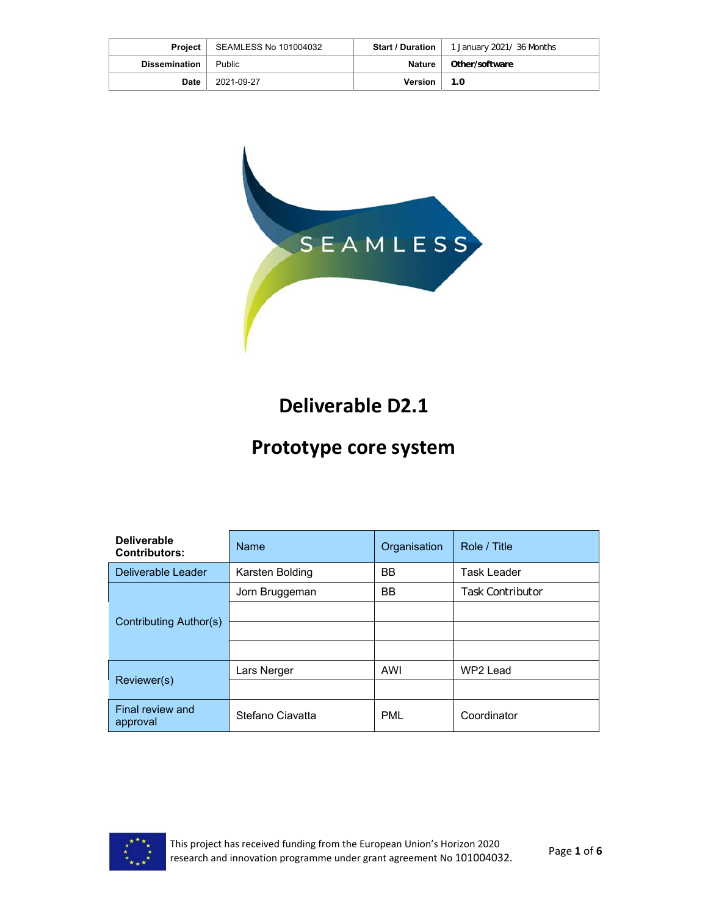|                      | <b>Project</b>   SEAMLESS No 101004032 | <b>Start / Duration</b> | 1 January 2021/36 Months |
|----------------------|----------------------------------------|-------------------------|--------------------------|
| <b>Dissemination</b> | Public                                 | <b>Nature</b>           | Other/software           |
| Date                 | 2021-09-27                             | <b>Version</b>          | 1.0                      |



# **Deliverable D2.1**

## **Prototype core system**

| <b>Deliverable</b><br><b>Contributors:</b> | <b>Name</b>      | Organisation | Role / Title            |
|--------------------------------------------|------------------|--------------|-------------------------|
| Deliverable Leader                         | Karsten Bolding  | <b>BB</b>    | <b>Task Leader</b>      |
|                                            | Jorn Bruggeman   | <b>BB</b>    | <b>Task Contributor</b> |
| <b>Contributing Author(s)</b>              |                  |              |                         |
|                                            |                  |              |                         |
|                                            |                  |              |                         |
| Reviewer(s)                                | Lars Nerger      | AWI          | WP2 Lead                |
|                                            |                  |              |                         |
| Final review and<br>approval               | Stefano Ciavatta | PML          | Coordinator             |

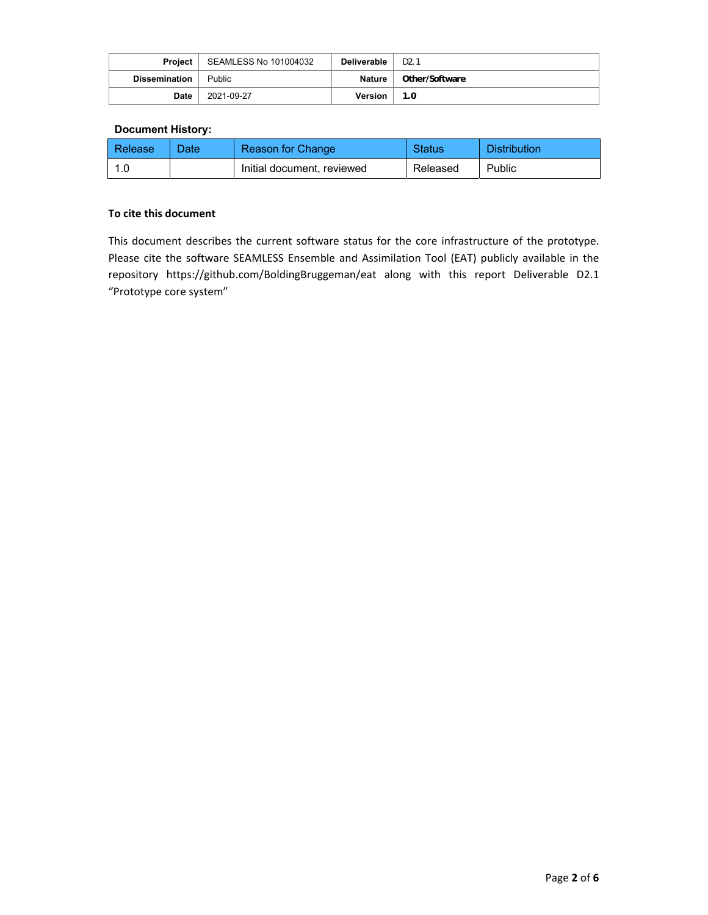| Project              | SEAMLESS No 101004032 | Deliverable | D <sub>2</sub> .1 |
|----------------------|-----------------------|-------------|-------------------|
| <b>Dissemination</b> | <b>Public</b>         | Nature      | Other/Software    |
| Date                 | 2021-09-27            | Version     | 1.0               |

### **Document History:**

| Release | 'Date | Reason for Change          | <b>Status</b> | <b>Distribution</b> |
|---------|-------|----------------------------|---------------|---------------------|
|         |       | Initial document, reviewed | Released      | Public              |

#### **To cite this document**

This document describes the current software status for the core infrastructure of the prototype. Please cite the software SEAMLESS Ensemble and Assimilation Tool (EAT) publicly available in the repository https://github.com/BoldingBruggeman/eat along with this report Deliverable D2.1 "Prototype core system"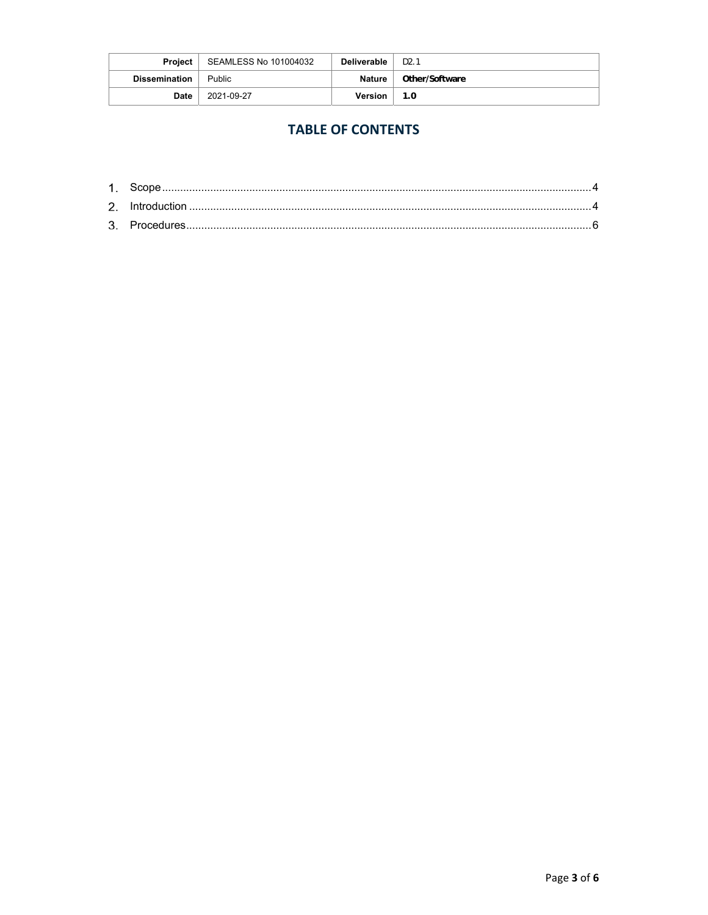| <b>Project</b>       | SEAMLESS No 101004032 | Deliverable | D <sub>2</sub> .1 |
|----------------------|-----------------------|-------------|-------------------|
| <b>Dissemination</b> | Public                | Nature      | Other/Software    |
| Date                 | 2021-09-27            | Version     | 1.0               |

### **TABLE OF CONTENTS**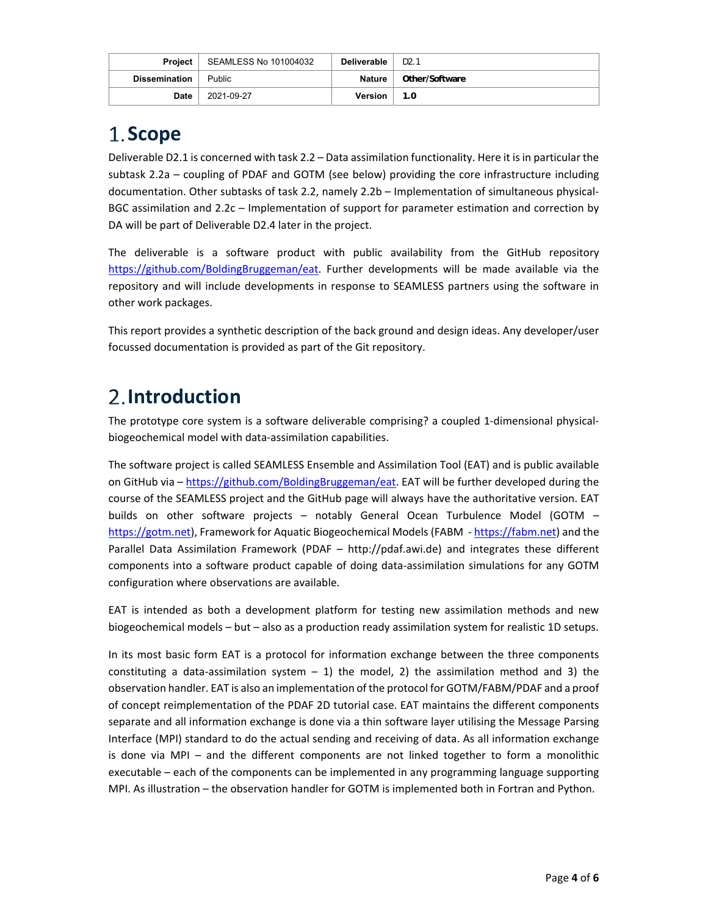| <b>Project</b>       | SEAMLESS No 101004032 | <b>Deliverable</b> | D2.1           |
|----------------------|-----------------------|--------------------|----------------|
| <b>Dissemination</b> | <b>Public</b>         | Nature             | Other/Software |
| Date                 | 2021-09-27            | <b>Version</b>     | 1.0            |

## **Scope**

Deliverable D2.1 is concerned with task 2.2 – Data assimilation functionality. Here it is in particular the subtask 2.2a – coupling of PDAF and GOTM (see below) providing the core infrastructure including documentation. Other subtasks of task 2.2, namely 2.2b – Implementation of simultaneous physical‐ BGC assimilation and 2.2c – Implementation of support for parameter estimation and correction by DA will be part of Deliverable D2.4 later in the project.

The deliverable is a software product with public availability from the GitHub repository https://github.com/BoldingBruggeman/eat. Further developments will be made available via the repository and will include developments in response to SEAMLESS partners using the software in other work packages.

This report provides a synthetic description of the back ground and design ideas. Any developer/user focussed documentation is provided as part of the Git repository.

# **Introduction**

The prototype core system is a software deliverable comprising? a coupled 1-dimensional physicalbiogeochemical model with data‐assimilation capabilities.

The software project is called SEAMLESS Ensemble and Assimilation Tool (EAT) and is public available on GitHub via - https://github.com/BoldingBruggeman/eat. EAT will be further developed during the course of the SEAMLESS project and the GitHub page will always have the authoritative version. EAT builds on other software projects - notably General Ocean Turbulence Model (GOTM https://gotm.net), Framework for Aquatic Biogeochemical Models (FABM - https://fabm.net) and the Parallel Data Assimilation Framework (PDAF – http://pdaf.awi.de) and integrates these different components into a software product capable of doing data-assimilation simulations for any GOTM configuration where observations are available.

EAT is intended as both a development platform for testing new assimilation methods and new biogeochemical models – but – also as a production ready assimilation system for realistic 1D setups.

In its most basic form EAT is a protocol for information exchange between the three components constituting a data-assimilation system  $-1$ ) the model, 2) the assimilation method and 3) the observation handler. EAT is also an implementation of the protocol for GOTM/FABM/PDAF and a proof of concept reimplementation of the PDAF 2D tutorial case. EAT maintains the different components separate and all information exchange is done via a thin software layer utilising the Message Parsing Interface (MPI) standard to do the actual sending and receiving of data. As all information exchange is done via MPI - and the different components are not linked together to form a monolithic executable – each of the components can be implemented in any programming language supporting MPI. As illustration – the observation handler for GOTM is implemented both in Fortran and Python.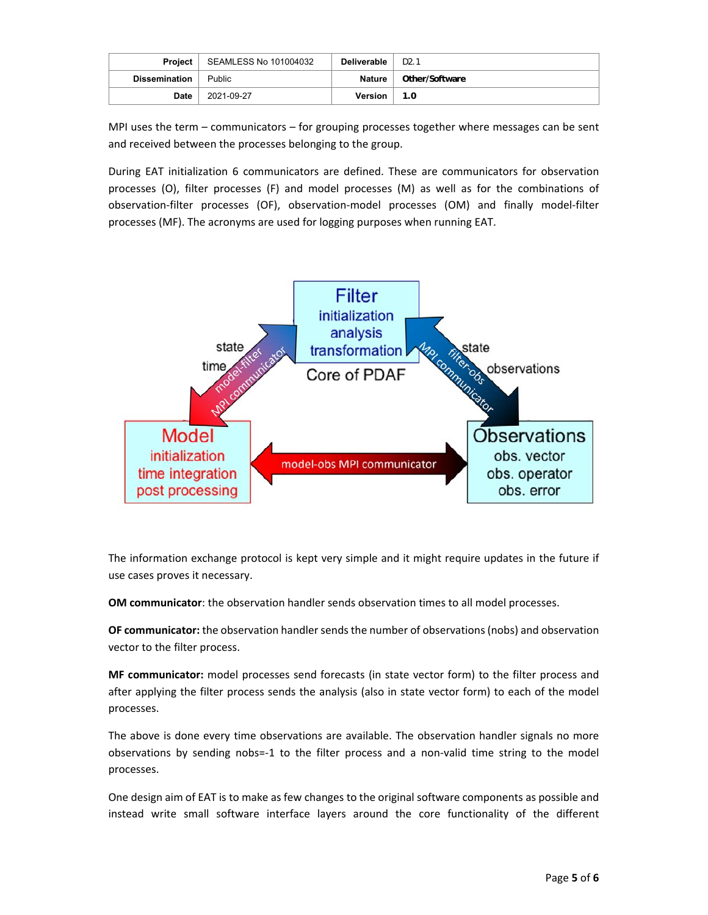| Project              | SEAMLESS No 101004032 | Deliverable    | D <sub>2</sub> .1 |
|----------------------|-----------------------|----------------|-------------------|
| <b>Dissemination</b> | Public                | Nature         | Other/Software    |
| Date                 | 2021-09-27            | <b>Version</b> | 1.0               |

MPI uses the term – communicators – for grouping processes together where messages can be sent and received between the processes belonging to the group.

During EAT initialization 6 communicators are defined. These are communicators for observation processes (O), filter processes (F) and model processes (M) as well as for the combinations of observation‐filter processes (OF), observation‐model processes (OM) and finally model‐filter processes (MF). The acronyms are used for logging purposes when running EAT.



The information exchange protocol is kept very simple and it might require updates in the future if use cases proves it necessary.

**OM communicator**: the observation handler sends observation times to all model processes.

**OF communicator:** the observation handler sends the number of observations (nobs) and observation vector to the filter process.

**MF communicator:** model processes send forecasts (in state vector form) to the filter process and after applying the filter process sends the analysis (also in state vector form) to each of the model processes.

The above is done every time observations are available. The observation handler signals no more observations by sending nobs=‐1 to the filter process and a non‐valid time string to the model processes.

One design aim of EAT is to make as few changes to the original software components as possible and instead write small software interface layers around the core functionality of the different